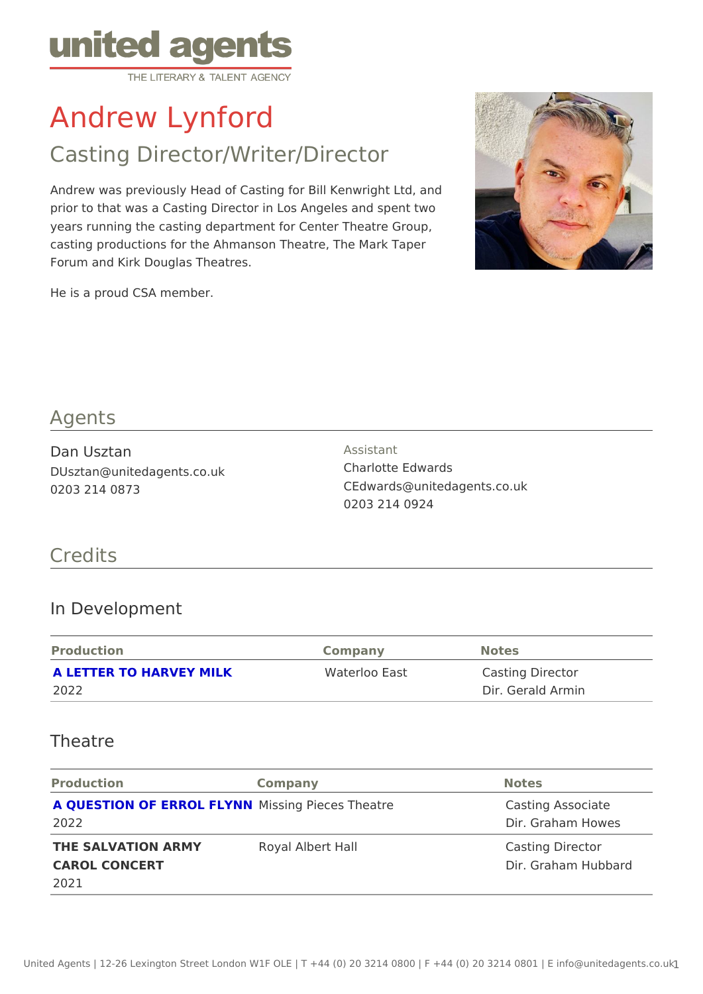# Andrew Lynford

# Casting Director/Writer/Director

Andrew was previously Head of Casting for Bill Kenwright Ltd, and prior to that was a Casting Director in Los Angeles and spent two years running the casting department for Center Theatre Group, casting productions for the Ahmanson Theatre, The Mark Taper Forum and Kirk Douglas Theatres.

He is a proud CSA member.

#### Agents

Dan Usztan DUsztan@unitedagents.co.uk 0203 214 0873

Assistant Charlotte Edwards CEdwards@unitedagents.co.uk 0203 214 0924

#### Credits

#### In Development

| Production                      | Company       | Notes                                 |
|---------------------------------|---------------|---------------------------------------|
| A LETTER TO HARVEY MILK<br>2022 | Waterloo East | Casting Director<br>Dir. Gerald Armin |

#### Theatre

| Production                                            | Company                                     | Notes                                   |
|-------------------------------------------------------|---------------------------------------------|-----------------------------------------|
| 2022                                                  | A QUESTION OF ERROL MLYSNING Pieces Theatre | Casting Associate<br>Dir. Graham Howes  |
| THE SALVATION ARMY Royal Albert Hall<br>CAROL CONCERT |                                             | Casting Director<br>Dir. Graham Hubbard |
| 2021                                                  |                                             |                                         |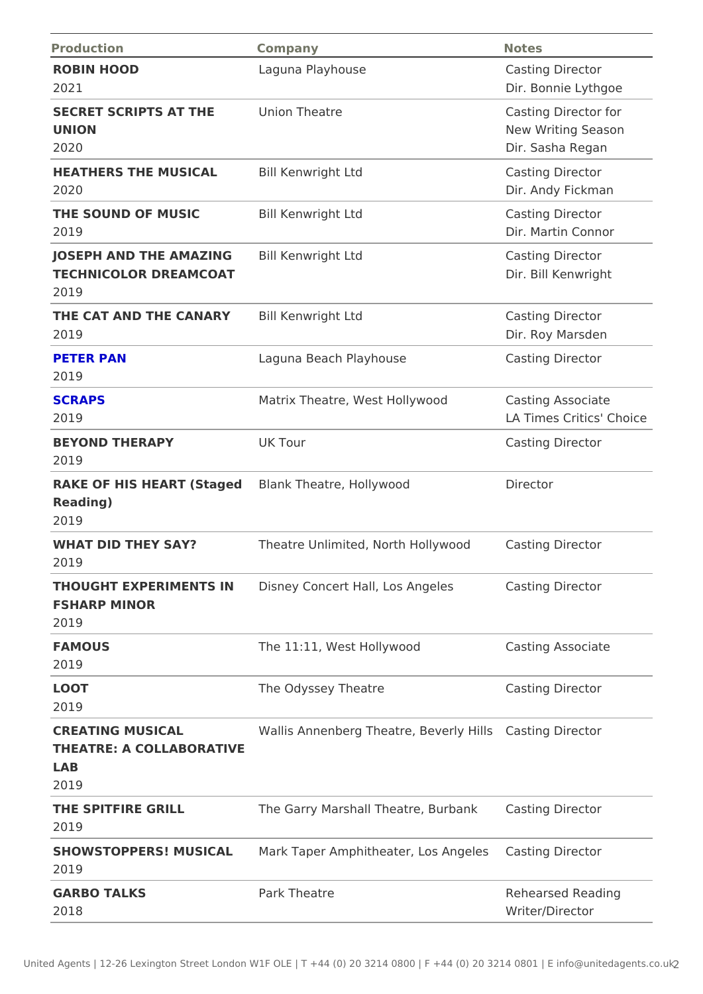| Production                                                              | Company                                                              | Notes                                                          |
|-------------------------------------------------------------------------|----------------------------------------------------------------------|----------------------------------------------------------------|
| ROBIN HOOD<br>2021                                                      | Laguna Playhouse                                                     | Casting Director<br>Dir. Bonnie Lythgoe                        |
| SECRET SCRIPTS AT THEnion Theatre<br>UNION<br>2020                      |                                                                      | Casting Director for<br>New Writing Season<br>Dir. Sasha Regan |
| HEATHERS THE MUSICA Bill Kenwright Ltd<br>2020                          |                                                                      | Casting Director<br>Dir. Andy Fickman                          |
| THE SOUND OF MUSIC Bill Kenwright Ltd<br>2019                           |                                                                      | Casting Director<br>Dir. Martin Connor                         |
| JOSEPH AND THE AMAZIBIGI Kenwright Ltd<br>TECHNICOLOR DREAMCOAT<br>2019 |                                                                      | Casting Director<br>Dir. Bill Kenwright                        |
| THE CAT AND THE CANARIYI Kenwright Ltd<br>2019                          |                                                                      | Casting Director<br>Dir. Roy Marsden                           |
| PETER PAN<br>2019                                                       | Laguna Beach Playhouse                                               | Casting Director                                               |
| <b>SCRAPS</b><br>2019                                                   | Matrix Theatre, West HollywoCasting Associate                        | LA Times Crahosce                                              |
| <b>BEYOND THERAPY</b><br>2019                                           | UK Tour                                                              | Casting Director                                               |
| $R$ eading)<br>2019                                                     | RAKE OF HIS HEART (St&gændk Theatre, Hollywood                       | Director                                                       |
| WHAT DID THEY SAY?<br>2019                                              | Theatre Unlimited, North Holl Cusobiong Director                     |                                                                |
| <b>FSHARP MINOR</b><br>2019                                             | THOUGHT EXPERIMENTSDINS ney Concert Hall, Los Ang Clæssting Director |                                                                |
| FAMOUS<br>2019                                                          | The 11:11, West Hollywood                                            | Casting Associate                                              |
| LOOT<br>2019                                                            | The Odyssey Theatre                                                  | Casting Director                                               |
| CREATING MUSICAL<br>THEATRE: A COLLABORATIVE<br>LAB<br>2019             | Wallis Annenberg Theatre, BeQashynhgiDsrector                        |                                                                |
| THE SPITFIRE GRILL<br>2019                                              | The Garry Marshall Theatre, ECuarsbtaing Director                    |                                                                |
| 2019                                                                    | SHOWSTOPPERS! MUSICMark Taper Amphitheater, LosCAsgielgesDirector    |                                                                |
| GARBO TALKS<br>2018                                                     | Park Theatre                                                         | Rehearsed Reading<br>Writer/Director                           |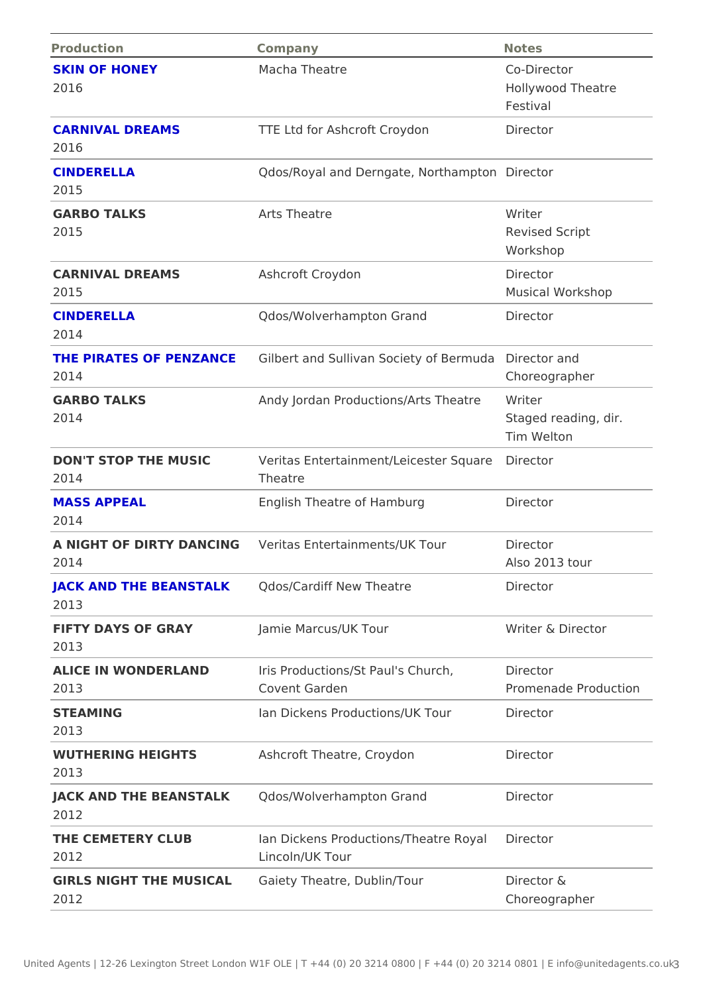| Production                                      | Company                                                                         | Notes                                        |
|-------------------------------------------------|---------------------------------------------------------------------------------|----------------------------------------------|
| <b>SKIN OF HONEY</b><br>2016                    | Macha Theatre                                                                   | Co-Director<br>Hollywood Theatre<br>Festival |
| CARNIVAL DREAMS<br>2016                         | TTE Ltd for Ashcroft Croydon Director                                           |                                              |
| <b>CINDERELLA</b><br>2015                       | Qdos/Royal and Derngate, NoDtihrae motpotron                                    |                                              |
| GARBO TALKS<br>2015                             | Arts Theatre                                                                    | Writer<br>Revised Script<br>Workshop         |
| CARNIVAL DREAMS<br>2015                         | Ashcroft Croydon                                                                | Director<br>Musical Workshop                 |
| <b>CINDERELLA</b><br>2014                       | Qdos/Wolverhampton Grand                                                        | Director                                     |
| 2014                                            | THE PIRATES OF PENZANGIBert and Sullivan Society di Beecrtroudand               | Choreographer                                |
| GARBO TALKS<br>2014                             | Andy Jordan Productions/Arts WTrhibeartre                                       | Staged reading, dir.<br>Tim Welton           |
| 2014                                            | DON'T STOP THE MUSIC Veritas Entertainment/Leicest@ireSqtware<br>Theatre        |                                              |
| <b>MASS APPEAL</b><br>2014                      | English Theatre of Hamburg                                                      | Director                                     |
| 2014                                            | A NIGHT OF DIRTY DAN CMeNGtas Entertainments/UK ToDirector                      | Also 2013 tour                               |
| 2013                                            | JACK AND THE BEANSTAQ Kos/Cardiff New Theatre                                   | Director                                     |
| FIFTY DAYS OF GRAY Jamie Marcus/UK Tour<br>2013 |                                                                                 | Writer & Director                            |
| 2013                                            | ALICE IN WONDERLAND Iris Productions/St Paul's ChuDrior bector<br>Covent Garden | Promenade Production                         |
| <b>STEAMING</b><br>2013                         | Ian Dickens Productions/UK TDurector                                            |                                              |
| 2013                                            | WUTHERING HEIGHTS Ashcroft Theatre, Croydon Director                            |                                              |
| 2012                                            | JACK AND THE BEANSTAQ Kos/Wolverhampton Grand Director                          |                                              |
| 2012                                            | THE CEMETERY CLUB Ian Dickens Productions/TheaDhieeRcboyral<br>Lincoln/UK Tour  |                                              |
| 2012                                            | GIRLS NIGHT THE MUSICGALiety Theatre, Dublin/Tour Director &                    | Choreographer                                |
|                                                 |                                                                                 |                                              |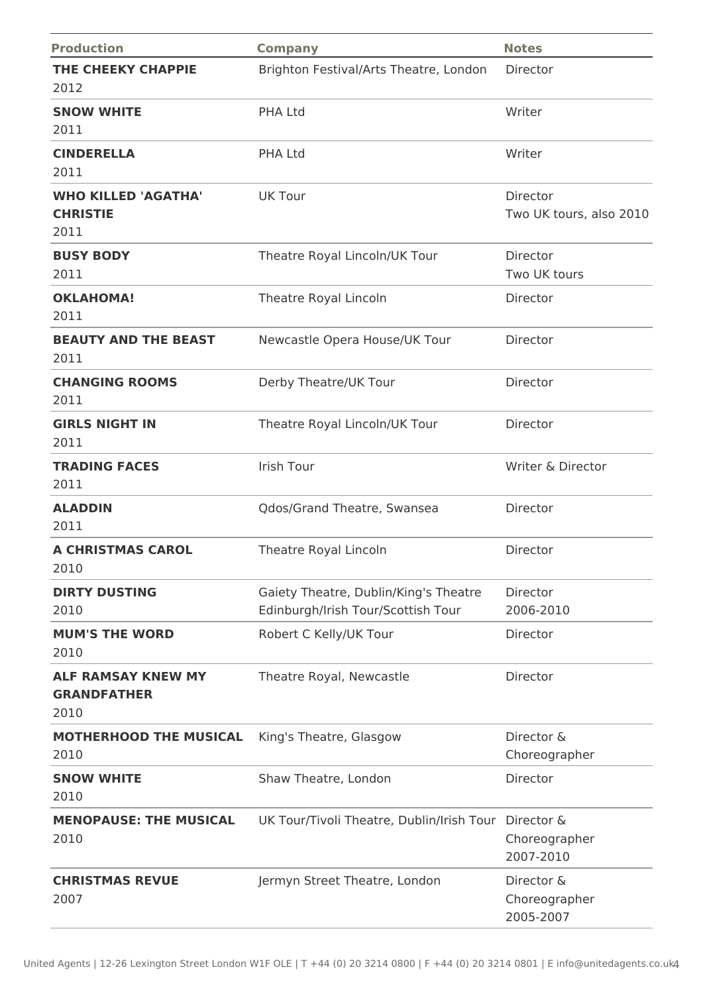| <b>Production</b>                                       | <b>Company</b>                                                              | <b>Notes</b>                             |
|---------------------------------------------------------|-----------------------------------------------------------------------------|------------------------------------------|
| THE CHEEKY CHAPPIE<br>2012                              | Brighton Festival/Arts Theatre, London                                      | Director                                 |
| <b>SNOW WHITE</b><br>2011                               | <b>PHA Ltd</b>                                                              | Writer                                   |
| <b>CINDERELLA</b><br>2011                               | <b>PHA Ltd</b>                                                              | Writer                                   |
| <b>WHO KILLED 'AGATHA'</b><br><b>CHRISTIE</b><br>2011   | <b>UK Tour</b>                                                              | Director<br>Two UK tours, also 2010      |
| <b>BUSY BODY</b><br>2011                                | Theatre Royal Lincoln/UK Tour                                               | Director<br>Two UK tours                 |
| <b>OKLAHOMA!</b><br>2011                                | Theatre Royal Lincoln                                                       | Director                                 |
| <b>BEAUTY AND THE BEAST</b><br>2011                     | Newcastle Opera House/UK Tour                                               | Director                                 |
| <b>CHANGING ROOMS</b><br>2011                           | Derby Theatre/UK Tour                                                       | Director                                 |
| <b>GIRLS NIGHT IN</b><br>2011                           | Theatre Royal Lincoln/UK Tour                                               | Director                                 |
| <b>TRADING FACES</b><br>2011                            | Irish Tour                                                                  | Writer & Director                        |
| <b>ALADDIN</b><br>2011                                  | Qdos/Grand Theatre, Swansea                                                 | Director                                 |
| <b>A CHRISTMAS CAROL</b><br>2010                        | Theatre Royal Lincoln                                                       | Director                                 |
| <b>DIRTY DUSTING</b><br>2010                            | Gaiety Theatre, Dublin/King's Theatre<br>Edinburgh/Irish Tour/Scottish Tour | Director<br>2006-2010                    |
| <b>MUM'S THE WORD</b><br>2010                           | Robert C Kelly/UK Tour                                                      | Director                                 |
| <b>ALF RAMSAY KNEW MY</b><br><b>GRANDFATHER</b><br>2010 | Theatre Royal, Newcastle                                                    | Director                                 |
| <b>MOTHERHOOD THE MUSICAL</b><br>2010                   | King's Theatre, Glasgow                                                     | Director &<br>Choreographer              |
| <b>SNOW WHITE</b><br>2010                               | Shaw Theatre, London                                                        | Director                                 |
| <b>MENOPAUSE: THE MUSICAL</b><br>2010                   | UK Tour/Tivoli Theatre, Dublin/Irish Tour                                   | Director &<br>Choreographer<br>2007-2010 |
| <b>CHRISTMAS REVUE</b><br>2007                          | Jermyn Street Theatre, London                                               | Director &<br>Choreographer<br>2005-2007 |